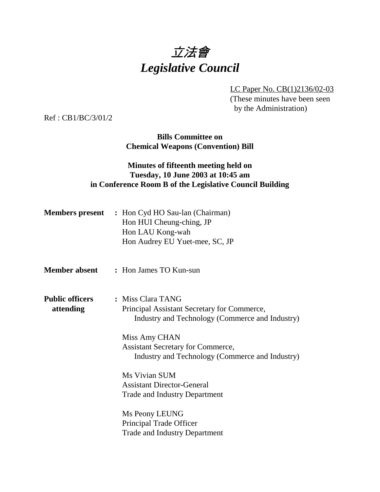

LC Paper No. CB(1)2136/02-03

(These minutes have been seen by the Administration)

Ref : CB1/BC/3/01/2

**Bills Committee on Chemical Weapons (Convention) Bill**

### **Minutes of fifteenth meeting held on Tuesday, 10 June 2003 at 10:45 am in Conference Room B of the Legislative Council Building**

|                                     | <b>Members present</b> : Hon Cyd HO Sau-lan (Chairman)<br>Hon HUI Cheung-ching, JP<br>Hon LAU Kong-wah<br>Hon Audrey EU Yuet-mee, SC, JP |
|-------------------------------------|------------------------------------------------------------------------------------------------------------------------------------------|
| <b>Member absent</b>                | : Hon James TO Kun-sun                                                                                                                   |
| <b>Public officers</b><br>attending | : Miss Clara TANG<br>Principal Assistant Secretary for Commerce,<br>Industry and Technology (Commerce and Industry)                      |
|                                     | Miss Amy CHAN<br><b>Assistant Secretary for Commerce,</b><br>Industry and Technology (Commerce and Industry)                             |
|                                     | Ms Vivian SUM<br><b>Assistant Director-General</b><br><b>Trade and Industry Department</b>                                               |
|                                     | Ms Peony LEUNG<br>Principal Trade Officer<br><b>Trade and Industry Department</b>                                                        |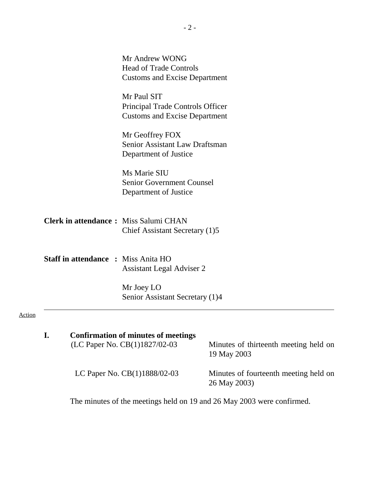|               |    |                                            | Mr Andrew WONG<br><b>Head of Trade Controls</b><br><b>Customs and Excise Department</b> |                                                       |
|---------------|----|--------------------------------------------|-----------------------------------------------------------------------------------------|-------------------------------------------------------|
|               |    |                                            | Mr Paul SIT<br>Principal Trade Controls Officer<br><b>Customs and Excise Department</b> |                                                       |
|               |    |                                            | Mr Geoffrey FOX<br>Senior Assistant Law Draftsman<br>Department of Justice              |                                                       |
|               |    |                                            | Ms Marie SIU<br><b>Senior Government Counsel</b><br>Department of Justice               |                                                       |
|               |    |                                            | <b>Clerk in attendance:</b> Miss Salumi CHAN<br>Chief Assistant Secretary (1)5          |                                                       |
|               |    | <b>Staff in attendance : Miss Anita HO</b> | <b>Assistant Legal Adviser 2</b>                                                        |                                                       |
|               |    |                                            | Mr Joey LO<br>Senior Assistant Secretary (1)4                                           |                                                       |
| <b>Action</b> |    |                                            |                                                                                         |                                                       |
|               | I. |                                            | <b>Confirmation of minutes of meetings</b><br>(LC Paper No. CB(1)1827/02-03             | Minutes of thirteenth meeting held on<br>19 May 2003  |
|               |    |                                            | LC Paper No. CB(1)1888/02-03                                                            | Minutes of fourteenth meeting held on<br>26 May 2003) |

The minutes of the meetings held on 19 and 26 May 2003 were confirmed.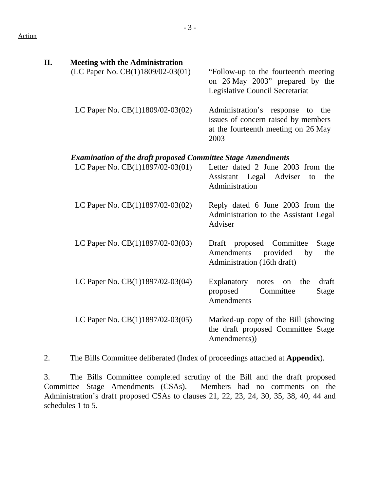| Π. | <b>Meeting with the Administration</b>                                     |                                                                                           |
|----|----------------------------------------------------------------------------|-------------------------------------------------------------------------------------------|
|    | (LC Paper No. $CB(1)1809/02-03(01)$ — "Follow-up to the fourteenth meeting | on 26 May 2003" prepared by the<br>Legislative Council Secretariat                        |
|    | LC Paper No. $CB(1)1809/02-03(02)$ Administration's response to the        | issues of concern raised by members<br>at the fourteenth meeting on 26 May<br>2003        |
|    | <b>Examination of the draft proposed Committee Stage Amendments</b>        |                                                                                           |
|    | LC Paper No. $CB(1)1897/02-03(01)$ — Letter dated 2 June 2003 from the     | Assistant Legal Adviser<br>the<br>to<br>Administration                                    |
|    | LC Paper No. $CB(1)1897/02-03(02)$ — Reply dated 6 June 2003 from the      | Administration to the Assistant Legal<br>Adviser                                          |
|    | LC Paper No. $CB(1)1897/02-03(03)$ — Draft proposed Committee              | <b>Stage</b><br>Amendments provided<br>by<br>the<br>Administration (16th draft)           |
|    | LC Paper No. $CB(1)1897/02-03(04)$ —                                       | draft<br>Explanatory notes on<br>the<br>proposed<br>Committee<br>Stage<br>Amendments      |
|    | LC Paper No. $CB(1)1897/02-03(05)$ —                                       | Marked-up copy of the Bill (showing<br>the draft proposed Committee Stage<br>Amendments)) |

2. The Bills Committee deliberated (Index of proceedings attached at **Appendix**).

3. The Bills Committee completed scrutiny of the Bill and the draft proposed Committee Stage Amendments (CSAs). Members had no comments on the Administration's draft proposed CSAs to clauses 21, 22, 23, 24, 30, 35, 38, 40, 44 and schedules 1 to 5.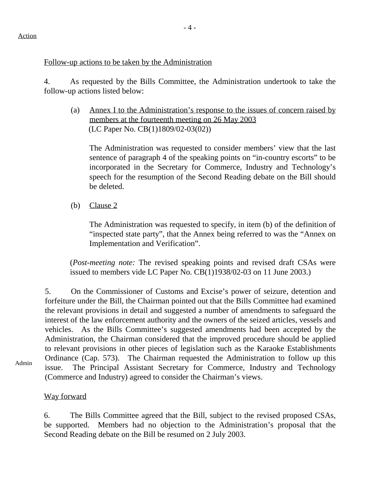#### Follow-up actions to be taken by the Administration

4. As requested by the Bills Committee, the Administration undertook to take the follow-up actions listed below:

(a) Annex I to the Administration's response to the issues of concern raised by members at the fourteenth meeting on 26 May 2003 (LC Paper No. CB(1)1809/02-03(02))

The Administration was requested to consider members' view that the last sentence of paragraph 4 of the speaking points on "in-country escorts" to be incorporated in the Secretary for Commerce, Industry and Technology's speech for the resumption of the Second Reading debate on the Bill should be deleted.

(b) Clause 2

The Administration was requested to specify, in item (b) of the definition of "inspected state party", that the Annex being referred to was the "Annex on Implementation and Verification".

(*Post-meeting note:* The revised speaking points and revised draft CSAs were issued to members vide LC Paper No. CB(1)1938/02-03 on 11 June 2003.)

5. On the Commissioner of Customs and Excise's power of seizure, detention and forfeiture under the Bill, the Chairman pointed out that the Bills Committee had examined the relevant provisions in detail and suggested a number of amendments to safeguard the interest of the law enforcement authority and the owners of the seized articles, vessels and vehicles. As the Bills Committee's suggested amendments had been accepted by the Administration, the Chairman considered that the improved procedure should be applied to relevant provisions in other pieces of legislation such as the Karaoke Establishments Ordinance (Cap. 573). The Chairman requested the Administration to follow up this issue. The Principal Assistant Secretary for Commerce, Industry and Technology (Commerce and Industry) agreed to consider the Chairman's views.

#### Way forward

6. The Bills Committee agreed that the Bill, subject to the revised proposed CSAs, be supported. Members had no objection to the Administration's proposal that the Second Reading debate on the Bill be resumed on 2 July 2003.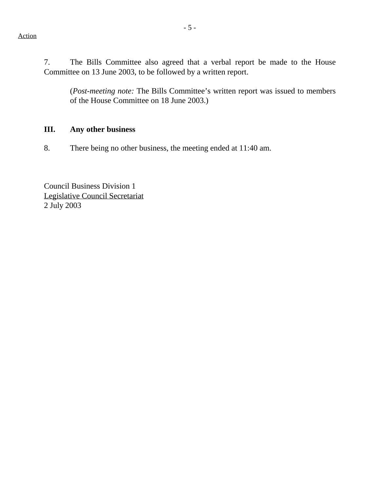7. The Bills Committee also agreed that a verbal report be made to the House Committee on 13 June 2003, to be followed by a written report.

(*Post-meeting note:* The Bills Committee's written report was issued to members of the House Committee on 18 June 2003.)

#### **III. Any other business**

8. There being no other business, the meeting ended at 11:40 am.

Council Business Division 1 Legislative Council Secretariat 2 July 2003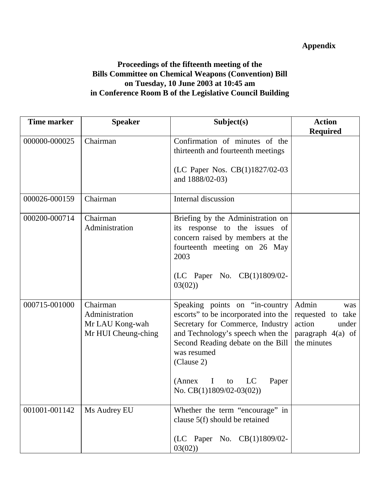# **Appendix**

## **Proceedings of the fifteenth meeting of the Bills Committee on Chemical Weapons (Convention) Bill on Tuesday, 10 June 2003 at 10:45 am in Conference Room B of the Legislative Council Building**

| <b>Time marker</b> | <b>Speaker</b>                                                       | Subject(s)                                                                                                                                                                                                                                                                              | <b>Action</b>                                                                            |
|--------------------|----------------------------------------------------------------------|-----------------------------------------------------------------------------------------------------------------------------------------------------------------------------------------------------------------------------------------------------------------------------------------|------------------------------------------------------------------------------------------|
|                    |                                                                      |                                                                                                                                                                                                                                                                                         | <b>Required</b>                                                                          |
| 000000-000025      | Chairman                                                             | Confirmation of minutes of the<br>thirteenth and fourteenth meetings                                                                                                                                                                                                                    |                                                                                          |
|                    |                                                                      | (LC Paper Nos. CB(1)1827/02-03<br>and 1888/02-03)                                                                                                                                                                                                                                       |                                                                                          |
| 000026-000159      | Chairman                                                             | Internal discussion                                                                                                                                                                                                                                                                     |                                                                                          |
| 000200-000714      | Chairman<br>Administration                                           | Briefing by the Administration on<br>its response to the issues of<br>concern raised by members at the<br>fourteenth meeting on 26 May<br>2003<br>(LC Paper No. CB(1)1809/02-<br>03(02)                                                                                                 |                                                                                          |
| 000715-001000      | Chairman<br>Administration<br>Mr LAU Kong-wah<br>Mr HUI Cheung-ching | Speaking points on "in-country<br>escorts" to be incorporated into the<br>Secretary for Commerce, Industry<br>and Technology's speech when the<br>Second Reading debate on the Bill<br>was resumed<br>(Clause 2)<br>(Annex<br>LC<br>$\bf{I}$<br>Paper<br>to<br>No. CB(1)1809/02-03(02)) | Admin<br>was<br>requested to take<br>action<br>under<br>paragraph 4(a) of<br>the minutes |
| 001001-001142      | Ms Audrey EU                                                         | Whether the term "encourage" in<br>clause 5(f) should be retained<br>(LC Paper No. CB(1)1809/02-<br>03(02)                                                                                                                                                                              |                                                                                          |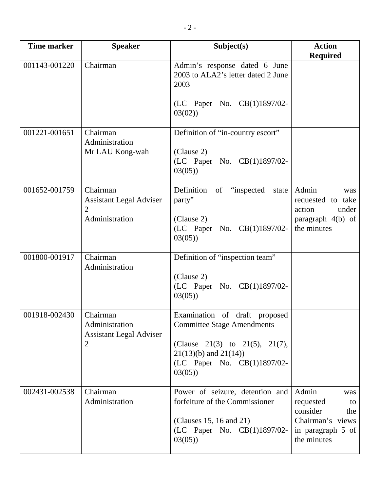| <b>Time marker</b> | <b>Speaker</b>                                                                 | Subject(s)                                                                                                                                                                   | <b>Action</b><br><b>Required</b>                                                                           |
|--------------------|--------------------------------------------------------------------------------|------------------------------------------------------------------------------------------------------------------------------------------------------------------------------|------------------------------------------------------------------------------------------------------------|
| 001143-001220      | Chairman                                                                       | Admin's response dated 6 June<br>2003 to ALA2's letter dated 2 June<br>2003                                                                                                  |                                                                                                            |
|                    |                                                                                | (LC Paper No. CB(1)1897/02-<br>03(02)                                                                                                                                        |                                                                                                            |
| 001221-001651      | Chairman<br>Administration<br>Mr LAU Kong-wah                                  | Definition of "in-country escort"<br>(Clause 2)<br>(LC Paper No. CB(1)1897/02-<br>03(05)                                                                                     |                                                                                                            |
| 001652-001759      | Chairman<br><b>Assistant Legal Adviser</b><br>2<br>Administration              | Definition<br>of<br>"inspected"<br>state<br>party"<br>(Clause 2)<br>(LC Paper No. CB(1)1897/02-<br>03(05)                                                                    | Admin<br>was<br>requested to take<br>action<br>under<br>paragraph 4(b) of<br>the minutes                   |
| 001800-001917      | Chairman<br>Administration                                                     | Definition of "inspection team"<br>(Clause 2)<br>(LC Paper No. CB(1)1897/02-<br>03(05)                                                                                       |                                                                                                            |
| 001918-002430      | Chairman<br>Administration<br><b>Assistant Legal Adviser</b><br>$\overline{2}$ | Examination of draft<br>proposed<br><b>Committee Stage Amendments</b><br>(Clause 21(3) to 21(5), 21(7),<br>$21(13)(b)$ and $21(14)$<br>(LC Paper No. CB(1)1897/02-<br>03(05) |                                                                                                            |
| 002431-002538      | Chairman<br>Administration                                                     | Power of seizure, detention and<br>forfeiture of the Commissioner<br>(Clauses 15, 16 and 21)<br>(LC Paper No. CB(1)1897/02-<br>03(05)                                        | Admin<br>was<br>requested<br>to<br>consider<br>the<br>Chairman's views<br>in paragraph 5 of<br>the minutes |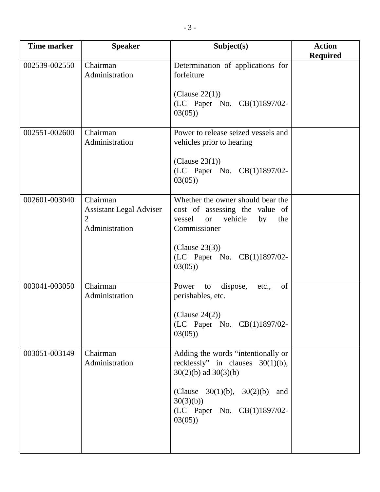| <b>Time marker</b> | <b>Speaker</b>                                                    | Subject(s)                                                                                                                                                                                        | <b>Action</b><br><b>Required</b> |
|--------------------|-------------------------------------------------------------------|---------------------------------------------------------------------------------------------------------------------------------------------------------------------------------------------------|----------------------------------|
| 002539-002550      | Chairman<br>Administration                                        | Determination of applications for<br>forfeiture<br>(Clause $22(1)$ )<br>(LC Paper No. CB(1)1897/02-<br>03(05)                                                                                     |                                  |
| 002551-002600      | Chairman<br>Administration                                        | Power to release seized vessels and<br>vehicles prior to hearing<br>(Clause 23(1))<br>(LC Paper No. CB(1)1897/02-<br>03(05)                                                                       |                                  |
| 002601-003040      | Chairman<br><b>Assistant Legal Adviser</b><br>2<br>Administration | Whether the owner should bear the<br>cost of assessing the value of<br>vessel<br>vehicle<br>by<br>the<br><b>or</b><br>Commissioner<br>(Clause 23(3))<br>(LC Paper No. CB(1)1897/02-<br>03(05)     |                                  |
| 003041-003050      | $\overline{\text{Chairman}}$<br>Administration                    | Power<br>dispose,<br>of<br>to<br>etc.,<br>perishables, etc.<br>(Clause $24(2)$ )<br>(LC Paper No. CB(1)1897/02-<br>03(05)                                                                         |                                  |
| 003051-003149      | Chairman<br>Administration                                        | Adding the words "intentionally or<br>recklessly" in clauses $30(1)(b)$ ,<br>$30(2)(b)$ ad $30(3)(b)$<br>(Clause $30(1)(b)$ , $30(2)(b)$ and<br>30(3)(b)<br>(LC Paper No. CB(1)1897/02-<br>03(05) |                                  |